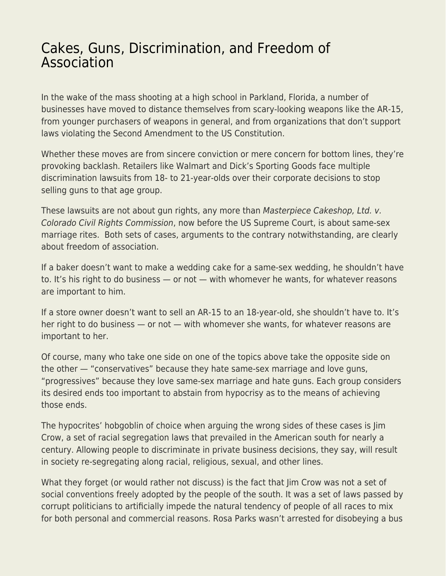## [Cakes, Guns, Discrimination, and Freedom of](https://everything-voluntary.com/cakes-guns-discrimination-and-freedom-of-association) [Association](https://everything-voluntary.com/cakes-guns-discrimination-and-freedom-of-association)

In the wake of the mass shooting at a high school in Parkland, Florida, a number of businesses have moved to distance themselves from scary-looking weapons like the AR-15, from younger purchasers of weapons in general, and from organizations that don't support laws violating the Second Amendment to the US Constitution.

Whether these moves are from sincere conviction or mere concern for bottom lines, they're provoking backlash. Retailers like Walmart and Dick's Sporting Goods face multiple discrimination lawsuits from 18- to 21-year-olds over their corporate decisions to stop selling guns to that age group.

These lawsuits are not about gun rights, any more than Masterpiece Cakeshop, Ltd. v. Colorado Civil Rights Commission, now before the US Supreme Court, is about same-sex marriage rites. Both sets of cases, arguments to the contrary notwithstanding, are clearly about freedom of association.

If a baker doesn't want to make a wedding cake for a same-sex wedding, he shouldn't have to. It's his right to do business — or not — with whomever he wants, for whatever reasons are important to him.

If a store owner doesn't want to sell an AR-15 to an 18-year-old, she shouldn't have to. It's her right to do business — or not — with whomever she wants, for whatever reasons are important to her.

Of course, many who take one side on one of the topics above take the opposite side on the other — "conservatives" because they hate same-sex marriage and love guns, "progressives" because they love same-sex marriage and hate guns. Each group considers its desired ends too important to abstain from hypocrisy as to the means of achieving those ends.

The hypocrites' hobgoblin of choice when arguing the wrong sides of these cases is Jim Crow, a set of racial segregation laws that prevailed in the American south for nearly a century. Allowing people to discriminate in private business decisions, they say, will result in society re-segregating along racial, religious, sexual, and other lines.

What they forget (or would rather not discuss) is the fact that Jim Crow was not a set of social conventions freely adopted by the people of the south. It was a set of laws passed by corrupt politicians to artificially impede the natural tendency of people of all races to mix for both personal and commercial reasons. Rosa Parks wasn't arrested for disobeying a bus